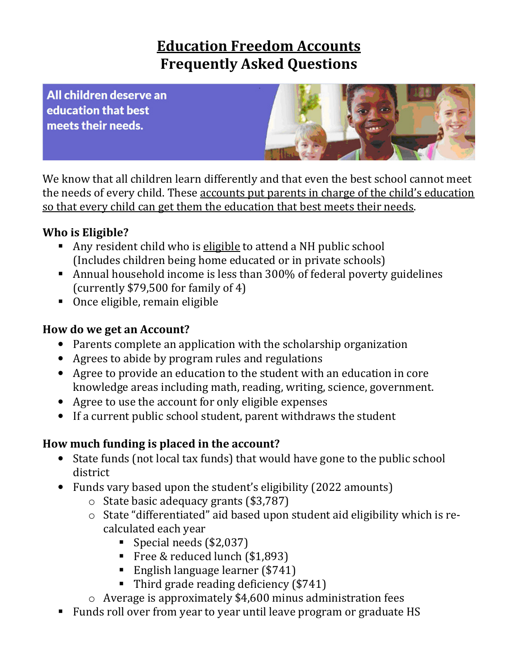# **Education Freedom Accounts Frequently Asked Questions**

All children deserve an education that best meets their needs.



We know that all children learn differently and that even the best school cannot meet the needs of every child. These accounts put parents in charge of the child's education so that every child can get them the education that best meets their needs.

### **Who is Eligible?**

- Any resident child who is eligible to attend a NH public school (Includes children being home educated or in private schools)
- Annual household income is less than 300% of federal poverty guidelines (currently \$79,500 for family of 4)
- Once eligible, remain eligible

### **How do we get an Account?**

- Parents complete an application with the scholarship organization
- Agrees to abide by program rules and regulations
- Agree to provide an education to the student with an education in core knowledge areas including math, reading, writing, science, government.
- Agree to use the account for only eligible expenses
- If a current public school student, parent withdraws the student

## **How much funding is placed in the account?**

- State funds (not local tax funds) that would have gone to the public school district
- Funds vary based upon the student's eligibility (2022 amounts)
	- o State basic adequacy grants (\$3,787)
	- o State "differentiated" aid based upon student aid eligibility which is recalculated each year
		- Special needs (\$2,037)
		- Free & reduced lunch (\$1,893)
		- English language learner (\$741)
		- Third grade reading deficiency (\$741)
	- o Average is approximately \$4,600 minus administration fees
- Funds roll over from year to year until leave program or graduate HS